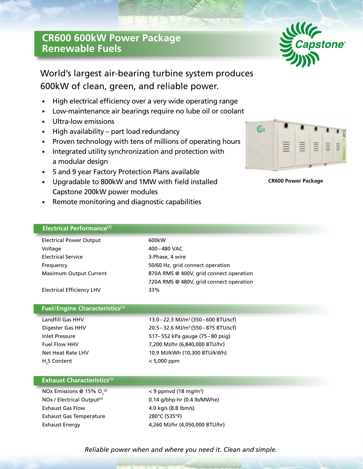# **CR600 600kW Power Package Renewable Fuels**



# World's largest air-bearing turbine system produces 600kW of clean, green, and reliable power.

- High electrical efficiency over a very wide operating range
- Low-maintenance air bearings require no lube oil or coolant
- Ultra-low emissions
- High availability part load redundancy
- Proven technology with tens of millions of operating hours
- Integrated utility synchronization and protection with a modular design
- 5 and 9 year Factory Protection Plans available
- Upgradable to 800kW and 1MW with field installed Capstone 200kW power modules
- Remote monitoring and diagnostic capabilities

# **Electrical Performance(1)**

| <b>Electrical Power Output</b>   | 600kW                                   |
|----------------------------------|-----------------------------------------|
| Voltage                          | 400-480 VAC                             |
| <b>Electrical Service</b>        | 3-Phase, 4 wire                         |
| Frequency                        | 50/60 Hz, grid connect operation        |
| <b>Maximum Output Current</b>    | 870A RMS @ 400V, grid connect operation |
|                                  | 720A RMS @ 480V, grid connect operation |
| <b>Electrical Efficiency LHV</b> | 33%                                     |

## **Fuel/Engine Characteristics(1)**

| Landfill Gas HHV         |  |  |
|--------------------------|--|--|
| Digester Gas HHV         |  |  |
| Inlet Pressure           |  |  |
| <b>Fuel Flow HHV</b>     |  |  |
| Net Heat Rate LHV        |  |  |
| H <sub>2</sub> S Content |  |  |

13.0–22.3 MJ/m<sup>3</sup> (350–600 BTU/scf)  $20.5 - 32.6$  MJ/m<sup>3</sup> (550–875 BTU/scf) 517– 552 kPa gauge (75–80 psig) 7,200 MJ/hr (6,840,000 BTU/hr) 10.9 MJ/kWh (10,300 BTU/kWh)  $< 5,000$  ppm

## **Exhaust Characteristics(1)**

| NOx Emissions @ 15% $O2(2)$            |  |  |
|----------------------------------------|--|--|
| NOx / Electrical Output <sup>(2)</sup> |  |  |
| <b>Exhaust Gas Flow</b>                |  |  |
| <b>Exhaust Gas Temperature</b>         |  |  |
| <b>Exhaust Energy</b>                  |  |  |

 $^{(2)}$   $<$  9 ppmvd (18 mg/m<sup>3</sup>)  $0.14$  g/bhp-hr (0.4 lb/MWhe) 4.0 kg/s (8.8 lbm/s) 280°C (535°F) 4,260 MJ/hr (4,050,000 BTU/hr)



**CR600 Power Package**

*Reliable power when and where you need it. Clean and simple.*